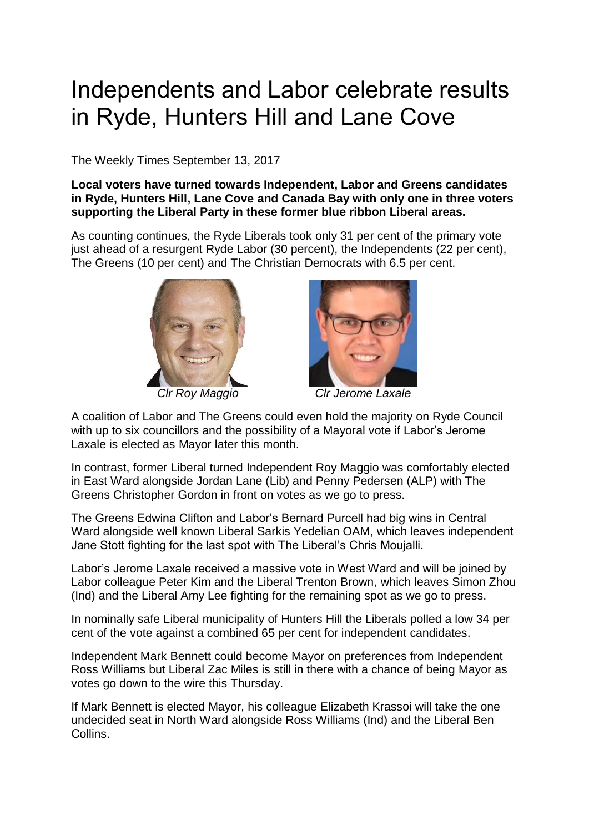## Independents and Labor celebrate results in Ryde, Hunters Hill and Lane Cove

The Weekly Times September 13, 2017

## **Local voters have turned towards Independent, Labor and Greens candidates in Ryde, Hunters Hill, Lane Cove and Canada Bay with only one in three voters supporting the Liberal Party in these former blue ribbon Liberal areas.**

As counting continues, the Ryde Liberals took only 31 per cent of the primary vote just ahead of a resurgent Ryde Labor (30 percent), the Independents (22 per cent), The Greens (10 per cent) and The Christian Democrats with 6.5 per cent.





 *Clr Roy Maggio Clr Jerome Laxale*

A coalition of Labor and The Greens could even hold the majority on Ryde Council with up to six councillors and the possibility of a Mayoral vote if Labor's Jerome Laxale is elected as Mayor later this month.

In contrast, former Liberal turned Independent Roy Maggio was comfortably elected in East Ward alongside Jordan Lane (Lib) and Penny Pedersen (ALP) with The Greens Christopher Gordon in front on votes as we go to press.

The Greens Edwina Clifton and Labor's Bernard Purcell had big wins in Central Ward alongside well known Liberal Sarkis Yedelian OAM, which leaves independent Jane Stott fighting for the last spot with The Liberal's Chris Moujalli.

Labor's Jerome Laxale received a massive vote in West Ward and will be joined by Labor colleague Peter Kim and the Liberal Trenton Brown, which leaves Simon Zhou (Ind) and the Liberal Amy Lee fighting for the remaining spot as we go to press.

In nominally safe Liberal municipality of Hunters Hill the Liberals polled a low 34 per cent of the vote against a combined 65 per cent for independent candidates.

Independent Mark Bennett could become Mayor on preferences from Independent Ross Williams but Liberal Zac Miles is still in there with a chance of being Mayor as votes go down to the wire this Thursday.

If Mark Bennett is elected Mayor, his colleague Elizabeth Krassoi will take the one undecided seat in North Ward alongside Ross Williams (Ind) and the Liberal Ben Collins.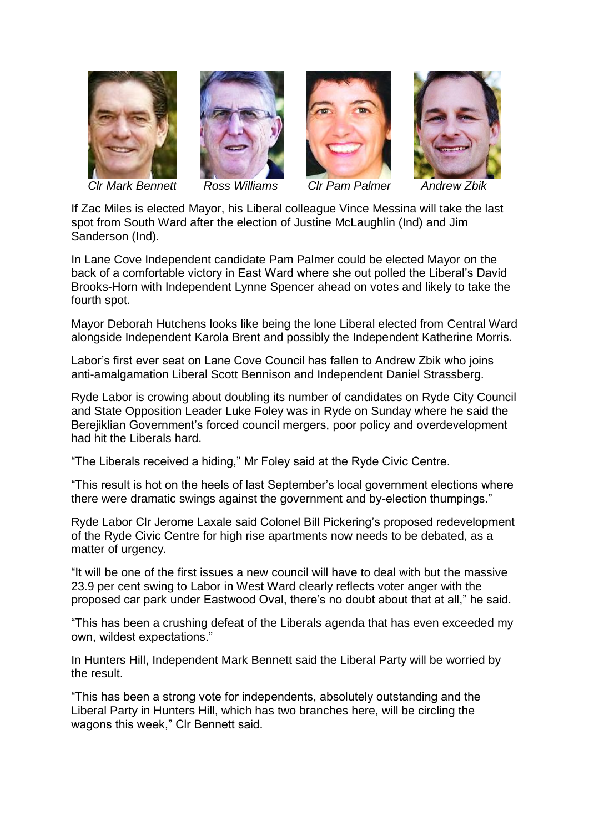











If Zac Miles is elected Mayor, his Liberal colleague Vince Messina will take the last spot from South Ward after the election of Justine McLaughlin (Ind) and Jim Sanderson (Ind).

In Lane Cove Independent candidate Pam Palmer could be elected Mayor on the back of a comfortable victory in East Ward where she out polled the Liberal's David Brooks-Horn with Independent Lynne Spencer ahead on votes and likely to take the fourth spot.

Mayor Deborah Hutchens looks like being the lone Liberal elected from Central Ward alongside Independent Karola Brent and possibly the Independent Katherine Morris.

Labor's first ever seat on Lane Cove Council has fallen to Andrew Zbik who joins anti-amalgamation Liberal Scott Bennison and Independent Daniel Strassberg.

Ryde Labor is crowing about doubling its number of candidates on Ryde City Council and State Opposition Leader Luke Foley was in Ryde on Sunday where he said the Berejiklian Government's forced council mergers, poor policy and overdevelopment had hit the Liberals hard.

"The Liberals received a hiding," Mr Foley said at the Ryde Civic Centre.

"This result is hot on the heels of last September's local government elections where there were dramatic swings against the government and by-election thumpings."

Ryde Labor Clr Jerome Laxale said Colonel Bill Pickering's proposed redevelopment of the Ryde Civic Centre for high rise apartments now needs to be debated, as a matter of urgency.

"It will be one of the first issues a new council will have to deal with but the massive 23.9 per cent swing to Labor in West Ward clearly reflects voter anger with the proposed car park under Eastwood Oval, there's no doubt about that at all," he said.

"This has been a crushing defeat of the Liberals agenda that has even exceeded my own, wildest expectations."

In Hunters Hill, Independent Mark Bennett said the Liberal Party will be worried by the result.

"This has been a strong vote for independents, absolutely outstanding and the Liberal Party in Hunters Hill, which has two branches here, will be circling the wagons this week," Clr Bennett said.